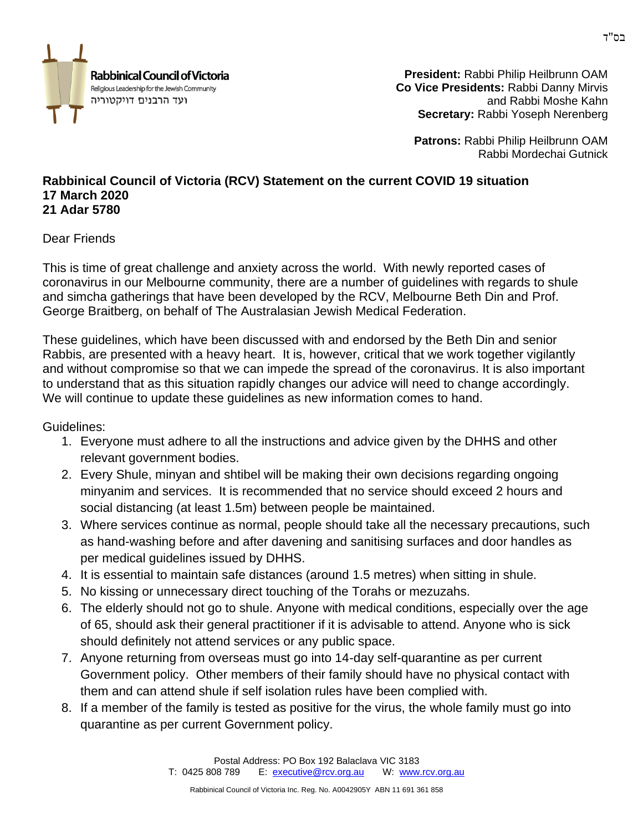

**President:** Rabbi Philip Heilbrunn OAM **Co Vice Presidents:** Rabbi Danny Mirvis and Rabbi Moshe Kahn **Secretary:** Rabbi Yoseph Nerenberg

**Patrons:** Rabbi Philip Heilbrunn OAM Rabbi Mordechai Gutnick

## **Rabbinical Council of Victoria (RCV) Statement on the current COVID 19 situation 17 March 2020 21 Adar 5780**

## Dear Friends

This is time of great challenge and anxiety across the world. With newly reported cases of coronavirus in our Melbourne community, there are a number of guidelines with regards to shule and simcha gatherings that have been developed by the RCV, Melbourne Beth Din and Prof. George Braitberg, on behalf of The Australasian Jewish Medical Federation.

These guidelines, which have been discussed with and endorsed by the Beth Din and senior Rabbis, are presented with a heavy heart. It is, however, critical that we work together vigilantly and without compromise so that we can impede the spread of the coronavirus. It is also important to understand that as this situation rapidly changes our advice will need to change accordingly. We will continue to update these guidelines as new information comes to hand.

Guidelines:

- 1. Everyone must adhere to all the instructions and advice given by the DHHS and other relevant government bodies.
- 2. Every Shule, minyan and shtibel will be making their own decisions regarding ongoing minyanim and services. It is recommended that no service should exceed 2 hours and social distancing (at least 1.5m) between people be maintained.
- 3. Where services continue as normal, people should take all the necessary precautions, such as hand-washing before and after davening and sanitising surfaces and door handles as per medical guidelines issued by DHHS.
- 4. It is essential to maintain safe distances (around 1.5 metres) when sitting in shule.
- 5. No kissing or unnecessary direct touching of the Torahs or mezuzahs.
- 6. The elderly should not go to shule. Anyone with medical conditions, especially over the age of 65, should ask their general practitioner if it is advisable to attend. Anyone who is sick should definitely not attend services or any public space.
- 7. Anyone returning from overseas must go into 14-day self-quarantine as per current Government policy. Other members of their family should have no physical contact with them and can attend shule if self isolation rules have been complied with.
- 8. If a member of the family is tested as positive for the virus, the whole family must go into quarantine as per current Government policy.